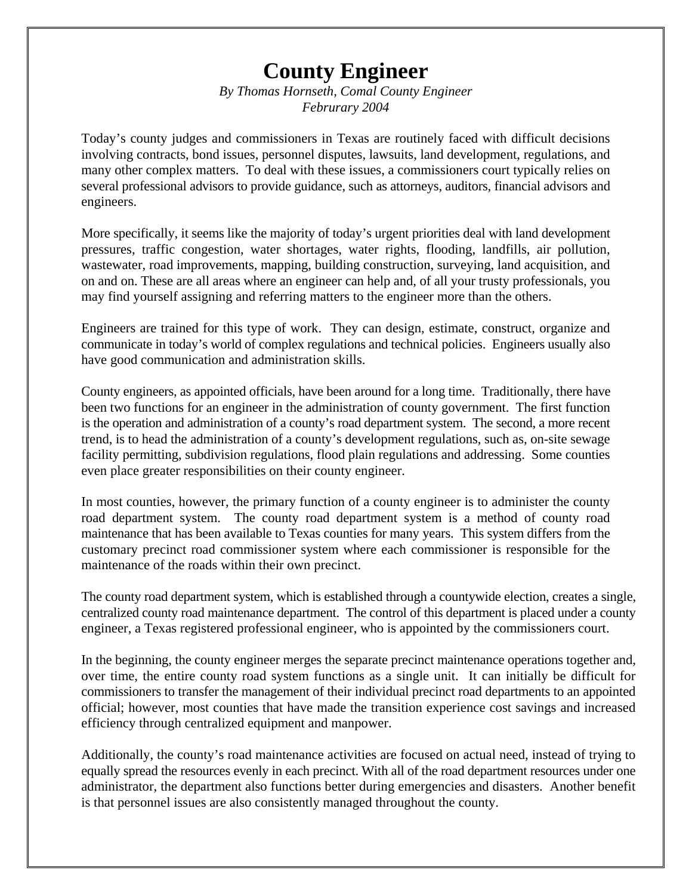## **County Engineer**

*By Thomas Hornseth, Comal County Engineer Februrary 2004*

Today's county judges and commissioners in Texas are routinely faced with difficult decisions involving contracts, bond issues, personnel disputes, lawsuits, land development, regulations, and many other complex matters. To deal with these issues, a commissioners court typically relies on several professional advisors to provide guidance, such as attorneys, auditors, financial advisors and engineers.

More specifically, it seems like the majority of today's urgent priorities deal with land development pressures, traffic congestion, water shortages, water rights, flooding, landfills, air pollution, wastewater, road improvements, mapping, building construction, surveying, land acquisition, and on and on. These are all areas where an engineer can help and, of all your trusty professionals, you may find yourself assigning and referring matters to the engineer more than the others.

Engineers are trained for this type of work. They can design, estimate, construct, organize and communicate in today's world of complex regulations and technical policies. Engineers usually also have good communication and administration skills.

County engineers, as appointed officials, have been around for a long time. Traditionally, there have been two functions for an engineer in the administration of county government. The first function is the operation and administration of a county's road department system. The second, a more recent trend, is to head the administration of a county's development regulations, such as, on-site sewage facility permitting, subdivision regulations, flood plain regulations and addressing. Some counties even place greater responsibilities on their county engineer.

In most counties, however, the primary function of a county engineer is to administer the county road department system. The county road department system is a method of county road maintenance that has been available to Texas counties for many years. This system differs from the customary precinct road commissioner system where each commissioner is responsible for the maintenance of the roads within their own precinct.

The county road department system, which is established through a countywide election, creates a single, centralized county road maintenance department. The control of this department is placed under a county engineer, a Texas registered professional engineer, who is appointed by the commissioners court.

In the beginning, the county engineer merges the separate precinct maintenance operations together and, over time, the entire county road system functions as a single unit. It can initially be difficult for commissioners to transfer the management of their individual precinct road departments to an appointed official; however, most counties that have made the transition experience cost savings and increased efficiency through centralized equipment and manpower.

Additionally, the county's road maintenance activities are focused on actual need, instead of trying to equally spread the resources evenly in each precinct. With all of the road department resources under one administrator, the department also functions better during emergencies and disasters. Another benefit is that personnel issues are also consistently managed throughout the county.